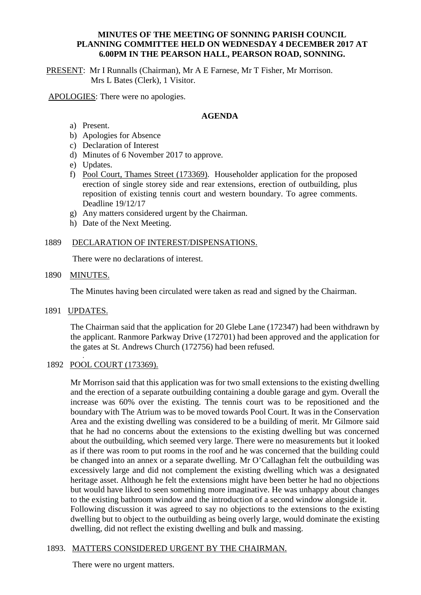### **MINUTES OF THE MEETING OF SONNING PARISH COUNCIL PLANNING COMMITTEE HELD ON WEDNESDAY 4 DECEMBER 2017 AT 6.00PM IN THE PEARSON HALL, PEARSON ROAD, SONNING.**

PRESENT: Mr I Runnalls (Chairman), Mr A E Farnese, Mr T Fisher, Mr Morrison. Mrs L Bates (Clerk), 1 Visitor.

APOLOGIES: There were no apologies.

### **AGENDA**

- a) Present.
- b) Apologies for Absence
- c) Declaration of Interest
- d) Minutes of 6 November 2017 to approve.
- e) Updates.
- f) Pool Court, Thames Street (173369). Householder application for the proposed erection of single storey side and rear extensions, erection of outbuilding, plus reposition of existing tennis court and western boundary. To agree comments. Deadline 19/12/17
- g) Any matters considered urgent by the Chairman.
- h) Date of the Next Meeting.

# 1889 DECLARATION OF INTEREST/DISPENSATIONS.

There were no declarations of interest.

### 1890 MINUTES.

The Minutes having been circulated were taken as read and signed by the Chairman.

1891 UPDATES.

The Chairman said that the application for 20 Glebe Lane (172347) had been withdrawn by the applicant. Ranmore Parkway Drive (172701) had been approved and the application for the gates at St. Andrews Church (172756) had been refused.

#### . 1892 POOL COURT (173369).

Mr Morrison said that this application was for two small extensions to the existing dwelling and the erection of a separate outbuilding containing a double garage and gym. Overall the increase was 60% over the existing. The tennis court was to be repositioned and the boundary with The Atrium was to be moved towards Pool Court. It was in the Conservation Area and the existing dwelling was considered to be a building of merit. Mr Gilmore said that he had no concerns about the extensions to the existing dwelling but was concerned about the outbuilding, which seemed very large. There were no measurements but it looked as if there was room to put rooms in the roof and he was concerned that the building could be changed into an annex or a separate dwelling. Mr O'Callaghan felt the outbuilding was excessively large and did not complement the existing dwelling which was a designated heritage asset. Although he felt the extensions might have been better he had no objections but would have liked to seen something more imaginative. He was unhappy about changes to the existing bathroom window and the introduction of a second window alongside it. Following discussion it was agreed to say no objections to the extensions to the existing dwelling but to object to the outbuilding as being overly large, would dominate the existing dwelling, did not reflect the existing dwelling and bulk and massing.

# 1893. MATTERS CONSIDERED URGENT BY THE CHAIRMAN.

There were no urgent matters.